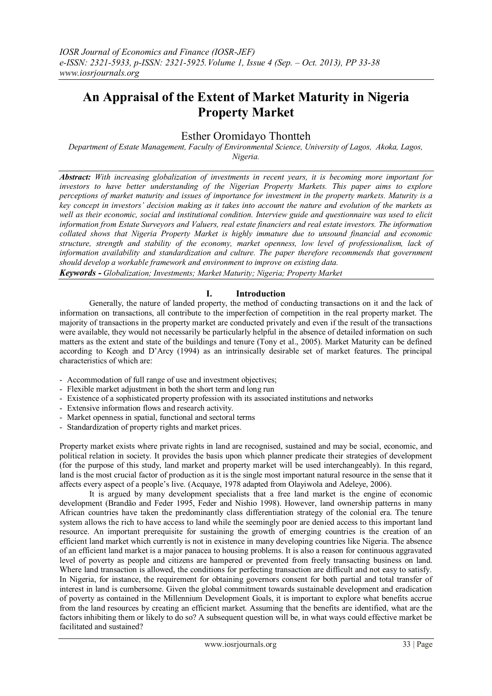# **An Appraisal of the Extent of Market Maturity in Nigeria Property Market**

## Esther Oromidayo Thontteh

*Department of Estate Management, Faculty of Environmental Science, University of Lagos, Akoka, Lagos, Nigeria.*

*Abstract: With increasing globalization of investments in recent years, it is becoming more important for investors to have better understanding of the Nigerian Property Markets. This paper aims to explore perceptions of market maturity and issues of importance for investment in the property markets. Maturity is a key concept in investors' decision making as it takes into account the nature and evolution of the markets as well as their economic, social and institutional condition. Interview guide and questionnaire was used to elicit information from Estate Surveyors and Valuers, real estate financiers and real estate investors. The information collated shows that Nigeria Property Market is highly immature due to unsound financial and economic structure, strength and stability of the economy, market openness, low level of professionalism, lack of information availability and standardization and culture. The paper therefore recommends that government should develop a workable framework and environment to improve on existing data.*

*Keywords - Globalization; Investments; Market Maturity; Nigeria; Property Market*

#### **I. Introduction**

Generally, the nature of landed property, the method of conducting transactions on it and the lack of information on transactions, all contribute to the imperfection of competition in the real property market. The majority of transactions in the property market are conducted privately and even if the result of the transactions were available, they would not necessarily be particularly helpful in the absence of detailed information on such matters as the extent and state of the buildings and tenure (Tony et al., 2005). Market Maturity can be defined according to Keogh and D'Arcy (1994) as an intrinsically desirable set of market features. The principal characteristics of which are:

- Accommodation of full range of use and investment objectives;
- Flexible market adjustment in both the short term and long run
- Existence of a sophisticated property profession with its associated institutions and networks
- Extensive information flows and research activity.
- Market openness in spatial, functional and sectoral terms
- Standardization of property rights and market prices.

Property market exists where private rights in land are recognised, sustained and may be social, economic, and political relation in society. It provides the basis upon which planner predicate their strategies of development (for the purpose of this study, land market and property market will be used interchangeably). In this regard, land is the most crucial factor of production as it is the single most important natural resource in the sense that it affects every aspect of a people's live. (Acquaye, 1978 adapted from Olayiwola and Adeleye, 2006).

It is argued by many development specialists that a free land market is the engine of economic development (Brandão and Feder 1995, Feder and Nishio 1998). However, land ownership patterns in many African countries have taken the predominantly class differentiation strategy of the colonial era. The tenure system allows the rich to have access to land while the seemingly poor are denied access to this important land resource. An important prerequisite for sustaining the growth of emerging countries is the creation of an efficient land market which currently is not in existence in many developing countries like Nigeria. The absence of an efficient land market is a major panacea to housing problems. It is also a reason for continuous aggravated level of poverty as people and citizens are hampered or prevented from freely transacting business on land. Where land transaction is allowed, the conditions for perfecting transaction are difficult and not easy to satisfy. In Nigeria, for instance, the requirement for obtaining governors consent for both partial and total transfer of interest in land is cumbersome. Given the global commitment towards sustainable development and eradication of poverty as contained in the Millennium Development Goals, it is important to explore what benefits accrue from the land resources by creating an efficient market. Assuming that the benefits are identified, what are the factors inhibiting them or likely to do so? A subsequent question will be, in what ways could effective market be facilitated and sustained?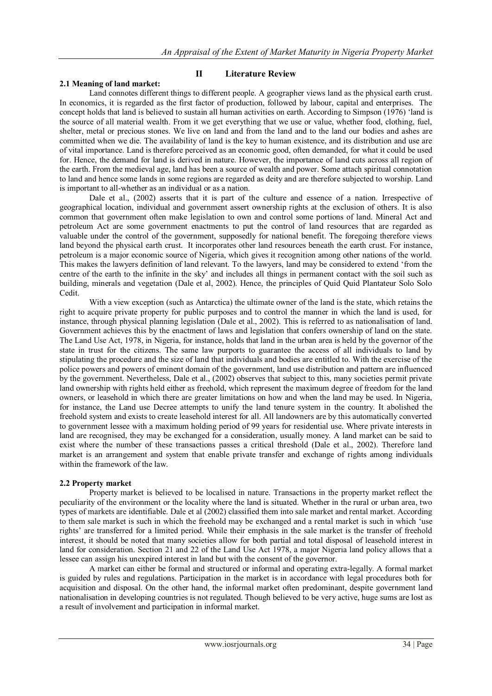#### **2.1 Meaning of land market:**

**II Literature Review**

Land connotes different things to different people. A geographer views land as the physical earth crust. In economics, it is regarded as the first factor of production, followed by labour, capital and enterprises. The concept holds that land is believed to sustain all human activities on earth. According to Simpson (1976) 'land is the source of all material wealth. From it we get everything that we use or value, whether food, clothing, fuel, shelter, metal or precious stones. We live on land and from the land and to the land our bodies and ashes are committed when we die. The availability of land is the key to human existence, and its distribution and use are of vital importance. Land is therefore perceived as an economic good, often demanded, for what it could be used for. Hence, the demand for land is derived in nature. However, the importance of land cuts across all region of the earth. From the medieval age, land has been a source of wealth and power. Some attach spiritual connotation to land and hence some lands in some regions are regarded as deity and are therefore subjected to worship. Land is important to all-whether as an individual or as a nation.

Dale et al., (2002) asserts that it is part of the culture and essence of a nation. Irrespective of geographical location, individual and government assert ownership rights at the exclusion of others. It is also common that government often make legislation to own and control some portions of land. Mineral Act and petroleum Act are some government enactments to put the control of land resources that are regarded as valuable under the control of the government, supposedly for national benefit. The foregoing therefore views land beyond the physical earth crust. It incorporates other land resources beneath the earth crust. For instance, petroleum is a major economic source of Nigeria, which gives it recognition among other nations of the world. This makes the lawyers definition of land relevant. To the lawyers, land may be considered to extend 'from the centre of the earth to the infinite in the sky' and includes all things in permanent contact with the soil such as building, minerals and vegetation (Dale et al, 2002). Hence, the principles of Quid Quid Plantateur Solo Solo Cedit.

With a view exception (such as Antarctica) the ultimate owner of the land is the state, which retains the right to acquire private property for public purposes and to control the manner in which the land is used, for instance, through physical planning legislation (Dale et al., 2002). This is referred to as nationalisation of land. Government achieves this by the enactment of laws and legislation that confers ownership of land on the state. The Land Use Act, 1978, in Nigeria, for instance, holds that land in the urban area is held by the governor of the state in trust for the citizens. The same law purports to guarantee the access of all individuals to land by stipulating the procedure and the size of land that individuals and bodies are entitled to. With the exercise of the police powers and powers of eminent domain of the government, land use distribution and pattern are influenced by the government. Nevertheless, Dale et al., (2002) observes that subject to this, many societies permit private land ownership with rights held either as freehold, which represent the maximum degree of freedom for the land owners, or leasehold in which there are greater limitations on how and when the land may be used. In Nigeria, for instance, the Land use Decree attempts to unify the land tenure system in the country. It abolished the freehold system and exists to create leasehold interest for all. All landowners are by this automatically converted to government lessee with a maximum holding period of 99 years for residential use. Where private interests in land are recognised, they may be exchanged for a consideration, usually money. A land market can be said to exist where the number of these transactions passes a critical threshold (Dale et al., 2002). Therefore land market is an arrangement and system that enable private transfer and exchange of rights among individuals within the framework of the law.

#### **2.2 Property market**

Property market is believed to be localised in nature. Transactions in the property market reflect the peculiarity of the environment or the locality where the land is situated. Whether in the rural or urban area, two types of markets are identifiable. Dale et al (2002) classified them into sale market and rental market. According to them sale market is such in which the freehold may be exchanged and a rental market is such in which 'use rights' are transferred for a limited period. While their emphasis in the sale market is the transfer of freehold interest, it should be noted that many societies allow for both partial and total disposal of leasehold interest in land for consideration. Section 21 and 22 of the Land Use Act 1978, a major Nigeria land policy allows that a lessee can assign his unexpired interest in land but with the consent of the governor.

A market can either be formal and structured or informal and operating extra-legally. A formal market is guided by rules and regulations. Participation in the market is in accordance with legal procedures both for acquisition and disposal. On the other hand, the informal market often predominant, despite government land nationalisation in developing countries is not regulated. Though believed to be very active, huge sums are lost as a result of involvement and participation in informal market.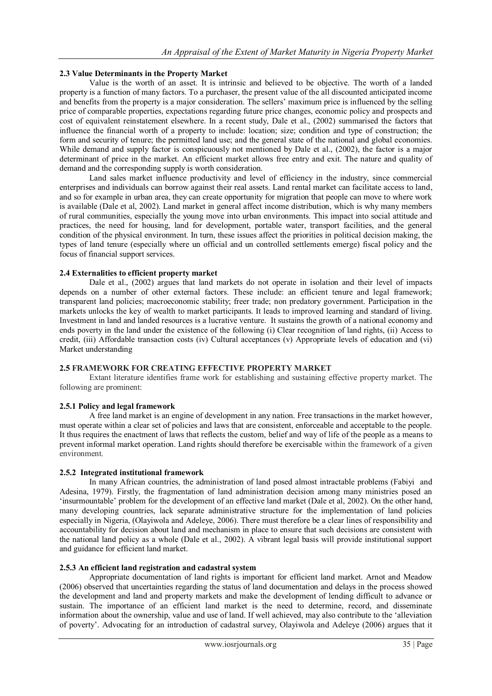#### **2.3 Value Determinants in the Property Market**

Value is the worth of an asset. It is intrinsic and believed to be objective. The worth of a landed property is a function of many factors. To a purchaser, the present value of the all discounted anticipated income and benefits from the property is a major consideration. The sellers' maximum price is influenced by the selling price of comparable properties, expectations regarding future price changes, economic policy and prospects and cost of equivalent reinstatement elsewhere. In a recent study, Dale et al., (2002) summarised the factors that influence the financial worth of a property to include: location; size; condition and type of construction; the form and security of tenure; the permitted land use; and the general state of the national and global economies. While demand and supply factor is conspicuously not mentioned by Dale et al., (2002), the factor is a major determinant of price in the market. An efficient market allows free entry and exit. The nature and quality of demand and the corresponding supply is worth consideration.

Land sales market influence productivity and level of efficiency in the industry, since commercial enterprises and individuals can borrow against their real assets. Land rental market can facilitate access to land, and so for example in urban area, they can create opportunity for migration that people can move to where work is available (Dale et al, 2002). Land market in general affect income distribution, which is why many members of rural communities, especially the young move into urban environments. This impact into social attitude and practices, the need for housing, land for development, portable water, transport facilities, and the general condition of the physical environment. In turn, these issues affect the priorities in political decision making, the types of land tenure (especially where un official and un controlled settlements emerge) fiscal policy and the focus of financial support services.

### **2.4 Externalities to efficient property market**

Dale et al., (2002) argues that land markets do not operate in isolation and their level of impacts depends on a number of other external factors. These include: an efficient tenure and legal framework; transparent land policies; macroeconomic stability; freer trade; non predatory government. Participation in the markets unlocks the key of wealth to market participants. It leads to improved learning and standard of living. Investment in land and landed resources is a lucrative venture. It sustains the growth of a national economy and ends poverty in the land under the existence of the following (i) Clear recognition of land rights, (ii) Access to credit, (iii) Affordable transaction costs (iv) Cultural acceptances (v) Appropriate levels of education and (vi) Market understanding

### **2.5 FRAMEWORK FOR CREATING EFFECTIVE PROPERTY MARKET**

Extant literature identifies frame work for establishing and sustaining effective property market. The following are prominent:

#### **2.5.1 Policy and legal framework**

A free land market is an engine of development in any nation. Free transactions in the market however, must operate within a clear set of policies and laws that are consistent, enforceable and acceptable to the people. It thus requires the enactment of laws that reflects the custom, belief and way of life of the people as a means to prevent informal market operation. Land rights should therefore be exercisable within the framework of a given environment.

#### **2.5.2 Integrated institutional framework**

In many African countries, the administration of land posed almost intractable problems (Fabiyi and Adesina, 1979). Firstly, the fragmentation of land administration decision among many ministries posed an 'insurmountable' problem for the development of an effective land market (Dale et al, 2002). On the other hand, many developing countries, lack separate administrative structure for the implementation of land policies especially in Nigeria, (Olayiwola and Adeleye, 2006). There must therefore be a clear lines of responsibility and accountability for decision about land and mechanism in place to ensure that such decisions are consistent with the national land policy as a whole (Dale et al., 2002). A vibrant legal basis will provide institutional support and guidance for efficient land market.

#### **2.5.3 An efficient land registration and cadastral system**

Appropriate documentation of land rights is important for efficient land market. Arnot and Meadow (2006) observed that uncertainties regarding the status of land documentation and delays in the process showed the development and land and property markets and make the development of lending difficult to advance or sustain. The importance of an efficient land market is the need to determine, record, and disseminate information about the ownership, value and use of land. If well achieved, may also contribute to the 'alleviation of poverty'. Advocating for an introduction of cadastral survey, Olayiwola and Adeleye (2006) argues that it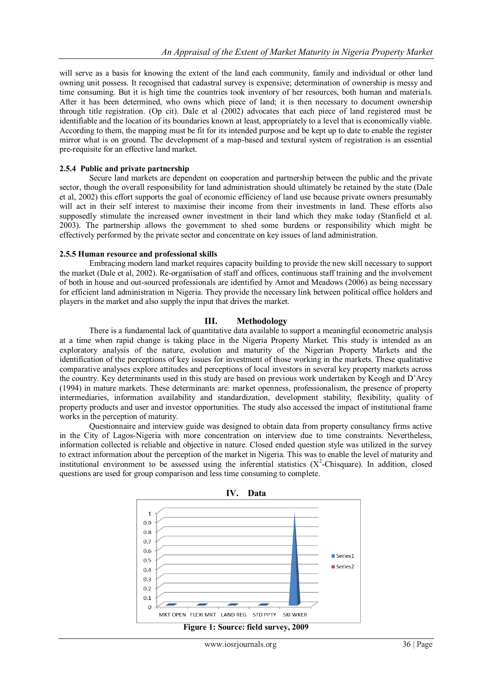will serve as a basis for knowing the extent of the land each community, family and individual or other land owning unit possess. It recognised that cadastral survey is expensive; determination of ownership is messy and time consuming. But it is high time the countries took inventory of her resources, both human and materials. After it has been determined, who owns which piece of land; it is then necessary to document ownership through title registration. (Op cit). Dale et al (2002) advocates that each piece of land registered must be identifiable and the location of its boundaries known at least, appropriately to a level that is economically viable. According to them, the mapping must be fit for its intended purpose and be kept up to date to enable the register mirror what is on ground. The development of a map-based and textural system of registration is an essential pre-requisite for an effective land market.

#### **2.5.4 Public and private partnership**

Secure land markets are dependent on cooperation and partnership between the public and the private sector, though the overall responsibility for land administration should ultimately be retained by the state (Dale et al, 2002) this effort supports the goal of economic efficiency of land use because private owners presumably will act in their self interest to maximise their income from their investments in land. These efforts also supposedly stimulate the increased owner investment in their land which they make today (Stanfield et al. 2003). The partnership allows the government to shed some burdens or responsibility which might be effectively performed by the private sector and concentrate on key issues of land administration.

#### **2.5.5 Human resource and professional skills**

Embracing modern land market requires capacity building to provide the new skill necessary to support the market (Dale et al, 2002). Re-organisation of staff and offices, continuous staff training and the involvement of both in house and out-sourced professionals are identified by Arnot and Meadows (2006) as being necessary for efficient land administration in Nigeria. They provide the necessary link between political office holders and players in the market and also supply the input that drives the market.

#### **III. Methodology**

There is a fundamental lack of quantitative data available to support a meaningful econometric analysis at a time when rapid change is taking place in the Nigeria Property Market. This study is intended as an exploratory analysis of the nature, evolution and maturity of the Nigerian Property Markets and the identification of the perceptions of key issues for investment of those working in the markets. These qualitative comparative analyses explore attitudes and perceptions of local investors in several key property markets across the country. Key determinants used in this study are based on previous work undertaken by Keogh and D'Arcy (1994) in mature markets. These determinants are: market openness, professionalism, the presence of property intermediaries, information availability and standardization, development stability, flexibility, quality of property products and user and investor opportunities. The study also accessed the impact of institutional frame works in the perception of maturity.

Questionnaire and interview guide was designed to obtain data from property consultancy firms active in the City of Lagos-Nigeria with more concentration on interview due to time constraints. Nevertheless, information collected is reliable and objective in nature. Closed ended question style was utilized in the survey to extract information about the perception of the market in Nigeria. This was to enable the level of maturity and institutional environment to be assessed using the inferential statistics  $(X^2$ -Chisquare). In addition, closed questions are used for group comparison and less time consuming to complete.



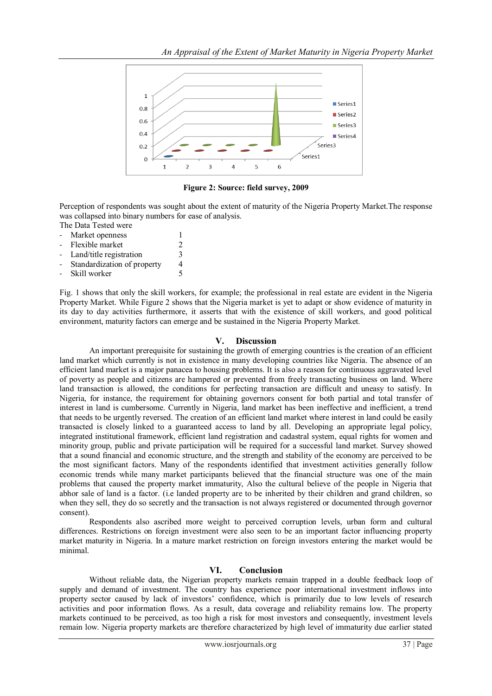

**Figure 2: Source: field survey, 2009**

Perception of respondents was sought about the extent of maturity of the Nigeria Property Market.The response was collapsed into binary numbers for ease of analysis.

The Data Tested were

- Market openness 1<br>Flexible market 2
- Flexible market
- Land/title registration 3
- Standardization of property 4
- Skill worker 5

 Fig. 1 shows that only the skill workers, for example; the professional in real estate are evident in the Nigeria Property Market. While Figure 2 shows that the Nigeria market is yet to adapt or show evidence of maturity in its day to day activities furthermore, it asserts that with the existence of skill workers, and good political environment, maturity factors can emerge and be sustained in the Nigeria Property Market.

#### **V. Discussion**

An important prerequisite for sustaining the growth of emerging countries is the creation of an efficient land market which currently is not in existence in many developing countries like Nigeria. The absence of an efficient land market is a major panacea to housing problems. It is also a reason for continuous aggravated level of poverty as people and citizens are hampered or prevented from freely transacting business on land. Where land transaction is allowed, the conditions for perfecting transaction are difficult and uneasy to satisfy. In Nigeria, for instance, the requirement for obtaining governors consent for both partial and total transfer of interest in land is cumbersome. Currently in Nigeria, land market has been ineffective and inefficient, a trend that needs to be urgently reversed. The creation of an efficient land market where interest in land could be easily transacted is closely linked to a guaranteed access to land by all. Developing an appropriate legal policy, integrated institutional framework, efficient land registration and cadastral system, equal rights for women and minority group, public and private participation will be required for a successful land market. Survey showed that a sound financial and economic structure, and the strength and stability of the economy are perceived to be the most significant factors. Many of the respondents identified that investment activities generally follow economic trends while many market participants believed that the financial structure was one of the main problems that caused the property market immaturity, Also the cultural believe of the people in Nigeria that abhor sale of land is a factor. (i.e landed property are to be inherited by their children and grand children, so when they sell, they do so secretly and the transaction is not always registered or documented through governor consent).

Respondents also ascribed more weight to perceived corruption levels, urban form and cultural differences. Restrictions on foreign investment were also seen to be an important factor influencing property market maturity in Nigeria. In a mature market restriction on foreign investors entering the market would be minimal.

#### **VI. Conclusion**

Without reliable data, the Nigerian property markets remain trapped in a double feedback loop of supply and demand of investment. The country has experience poor international investment inflows into property sector caused by lack of investors' confidence, which is primarily due to low levels of research activities and poor information flows. As a result, data coverage and reliability remains low. The property markets continued to be perceived, as too high a risk for most investors and consequently, investment levels remain low. Nigeria property markets are therefore characterized by high level of immaturity due earlier stated